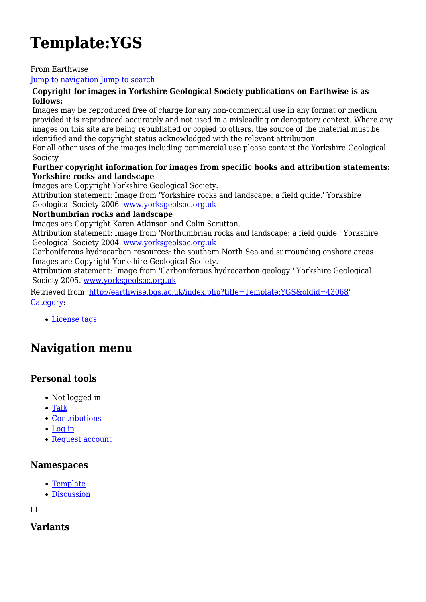# **Template:YGS**

#### From Earthwise

#### [Jump to navigation](#page--1-0) [Jump to search](#page--1-0)

#### **Copyright for images in Yorkshire Geological Society publications on Earthwise is as follows:**

Images may be reproduced free of charge for any non-commercial use in any format or medium provided it is reproduced accurately and not used in a misleading or derogatory context. Where any images on this site are being republished or copied to others, the source of the material must be identified and the copyright status acknowledged with the relevant attribution.

For all other uses of the images including commercial use please contact the Yorkshire Geological Society

#### **Further copyright information for images from specific books and attribution statements: Yorkshire rocks and landscape**

Images are Copyright Yorkshire Geological Society.

Attribution statement: Image from 'Yorkshire rocks and landscape: a field guide.' Yorkshire Geological Society 2006. [www.yorksgeolsoc.org.uk](http://www.yorksgeolsoc.org.uk)

#### **Northumbrian rocks and landscape**

Images are Copyright Karen Atkinson and Colin Scrutton.

Attribution statement: Image from 'Northumbrian rocks and landscape: a field guide.' Yorkshire Geological Society 2004. [www.yorksgeolsoc.org.uk](http://www.yorksgeolsoc.org.uk)

Carboniferous hydrocarbon resources: the southern North Sea and surrounding onshore areas Images are Copyright Yorkshire Geological Society.

Attribution statement: Image from 'Carboniferous hydrocarbon geology.' Yorkshire Geological Society 2005. [www.yorksgeolsoc.org.uk](http://www.yorksgeolsoc.org.uk)

Retrieved from ['http://earthwise.bgs.ac.uk/index.php?title=Template:YGS&oldid=43068](http://earthwise.bgs.ac.uk/index.php?title=Template:YGS&oldid=43068)' [Category](http://earthwise.bgs.ac.uk/index.php/Special:Categories):

[License tags](http://earthwise.bgs.ac.uk/index.php/Category:License_tags)

# **Navigation menu**

# **Personal tools**

- Not logged in
- [Talk](http://earthwise.bgs.ac.uk/index.php/Special:MyTalk)
- [Contributions](http://earthwise.bgs.ac.uk/index.php/Special:MyContributions)
- [Log in](http://earthwise.bgs.ac.uk/index.php?title=Special:UserLogin&returnto=Template%3AYGS&returntoquery=action%3Dmpdf)
- [Request account](http://earthwise.bgs.ac.uk/index.php/Special:RequestAccount)

#### **Namespaces**

- [Template](http://earthwise.bgs.ac.uk/index.php/Template:YGS)
- [Discussion](http://earthwise.bgs.ac.uk/index.php?title=Template_talk:YGS&action=edit&redlink=1)

 $\Box$ 

**Variants**